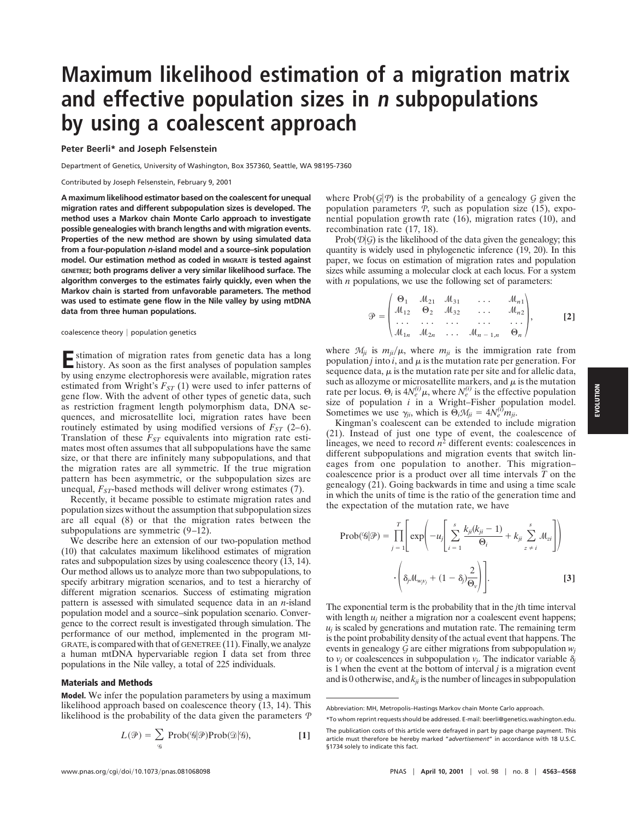# **Maximum likelihood estimation of a migration matrix and effective population sizes in <sup>n</sup> subpopulations by using a coalescent approach**

#### **Peter Beerli\* and Joseph Felsenstein**

Department of Genetics, University of Washington, Box 357360, Seattle, WA 98195-7360

Contributed by Joseph Felsenstein, February 9, 2001

**A maximum likelihood estimator based on the coalescent for unequal migration rates and different subpopulation sizes is developed. The method uses a Markov chain Monte Carlo approach to investigate possible genealogies with branch lengths and with migration events. Properties of the new method are shown by using simulated data from a four-population** *n***-island model and a source–sink population model. Our estimation method as coded in MIGRATE is tested against GENETREE; both programs deliver a very similar likelihood surface. The algorithm converges to the estimates fairly quickly, even when the Markov chain is started from unfavorable parameters. The method was used to estimate gene flow in the Nile valley by using mtDNA data from three human populations.**

#### coalescence theory  $|$  population genetics

**E**stimation of migration rates from genetic data has a long history. As soon as the first analyses of population samples by using enzyme electrophoresis were available, migration rates estimated from Wright's  $F_{ST}$  (1) were used to infer patterns of gene flow. With the advent of other types of genetic data, such as restriction fragment length polymorphism data, DNA sequences, and microsatellite loci, migration rates have been routinely estimated by using modified versions of  $F_{ST}$  (2–6). Translation of these  $F_{ST}$  equivalents into migration rate estimates most often assumes that all subpopulations have the same size, or that there are infinitely many subpopulations, and that the migration rates are all symmetric. If the true migration pattern has been asymmetric, or the subpopulation sizes are unequal, *F<sub>ST</sub>*-based methods will deliver wrong estimates (7).

Recently, it became possible to estimate migration rates and population sizes without the assumption that subpopulation sizes are all equal (8) or that the migration rates between the subpopulations are symmetric (9–12).

We describe here an extension of our two-population method (10) that calculates maximum likelihood estimates of migration rates and subpopulation sizes by using coalescence theory (13, 14). Our method allows us to analyze more than two subpopulations, to specify arbitrary migration scenarios, and to test a hierarchy of different migration scenarios. Success of estimating migration pattern is assessed with simulated sequence data in an *n*-island population model and a source–sink population scenario. Convergence to the correct result is investigated through simulation. The performance of our method, implemented in the program MI-GRATE, is compared with that of GENETREE (11). Finally, we analyze a human mtDNA hypervariable region I data set from three populations in the Nile valley, a total of 225 individuals.

## **Materials and Methods**

**Model.** We infer the population parameters by using a maximum likelihood approach based on coalescence theory (13, 14). This likelihood is the probability of the data given the parameters *P*

$$
L(\mathcal{P}) = \sum_{q} \mathrm{Prob}(\mathcal{G}|\mathcal{P}) \mathrm{Prob}(\mathcal{D}|\mathcal{G}), \tag{1}
$$

where  $Prob(G|P)$  is the probability of a genealogy *G* given the population parameters *P*, such as population size (15), exponential population growth rate (16), migration rates (10), and recombination rate (17, 18).

Prob( $\mathcal{D}(G)$ ) is the likelihood of the data given the genealogy; this quantity is widely used in phylogenetic inference (19, 20). In this paper, we focus on estimation of migration rates and population sizes while assuming a molecular clock at each locus. For a system with *n* populations, we use the following set of parameters:

$$
\mathcal{P} = \begin{pmatrix} \Theta_1 & \mathcal{M}_{21} & \mathcal{M}_{31} & \dots & \mathcal{M}_{n1} \\ \mathcal{M}_{12} & \Theta_2 & \mathcal{M}_{32} & \dots & \mathcal{M}_{n2} \\ \dots & \dots & \dots & \dots & \dots \\ \mathcal{M}_{1n} & \mathcal{M}_{2n} & \dots & \mathcal{M}_{n-1,n} & \Theta_n \end{pmatrix}, \qquad [2]
$$

where  $M_{ji}$  is  $m_{ji}/\mu$ , where  $m_{ji}$  is the immigration rate from population *j* into *i*, and  $\mu$  is the mutation rate per generation. For sequence data,  $\mu$  is the mutation rate per site and for allelic data, such as allozyme or microsatellite markers, and  $\mu$  is the mutation rate per locus.  $\Theta_i$  is  $4N_e^{(i)}\mu$ , where  $N_e^{(i)}$  is the effective population size of population *i* in a Wright–Fisher population model. Sometimes we use  $\gamma_{ji}$ , which is  $\tilde{\Theta}_i \mathcal{M}_{ji} = 4N_e^{(i)} m_{ji}$ .

Kingman's coalescent can be extended to include migration (21). Instead of just one type of event, the coalescence of lineages, we need to record  $n^2$  different events: coalescences in different subpopulations and migration events that switch lineages from one population to another. This migration– coalescence prior is a product over all time intervals *T* on the genealogy (21). Going backwards in time and using a time scale in which the units of time is the ratio of the generation time and the expectation of the mutation rate, we have

$$
\text{Prob}(\mathcal{G}|\mathcal{P}) = \prod_{j=1}^{T} \left[ \exp\left(-u_j \left[ \sum_{i=1}^{s} \frac{k_{ji}(k_{ji} - 1)}{\Theta_i} + k_{ji} \sum_{z \neq i}^{s} M_{zi} \right] \right) \right]
$$

$$
\cdot \left( \delta_j M_{w_j v_j} + (1 - \delta_j) \frac{2}{\Theta_v} \right) \right].
$$
 [3]

The exponential term is the probability that in the *j*th time interval with length  $u_i$  neither a migration nor a coalescent event happens;  $u_i$  is scaled by generations and mutation rate. The remaining term is the point probability density of the actual event that happens. The events in genealogy *G* are either migrations from subpopulation *wj* to  $v_j$  or coalescences in subpopulation  $v_j$ . The indicator variable  $\delta_j$ is 1 when the event at the bottom of interval *j* is a migration event and is 0 otherwise, and  $k_{ii}$  is the number of lineages in subpopulation

Abbreviation: MH, Metropolis–Hastings Markov chain Monte Carlo approach.

<sup>\*</sup>To whom reprint requests should be addressed. E-mail: beerli@genetics.washington.edu.

The publication costs of this article were defrayed in part by page charge payment. This article must therefore be hereby marked "*advertisement*" in accordance with 18 U.S.C. §1734 solely to indicate this fact.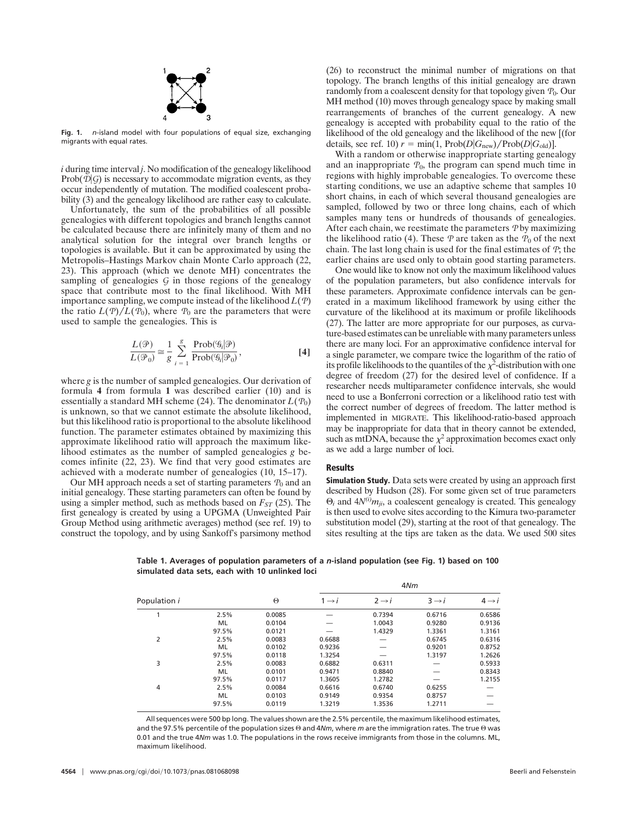

**Fig. 1.** *n*-island model with four populations of equal size, exchanging migrants with equal rates.

*i* during time interval *j*. No modification of the genealogy likelihood Prob $(\mathcal{D}|\mathcal{G})$  is necessary to accommodate migration events, as they occur independently of mutation. The modified coalescent probability (3) and the genealogy likelihood are rather easy to calculate.

Unfortunately, the sum of the probabilities of all possible genealogies with different topologies and branch lengths cannot be calculated because there are infinitely many of them and no analytical solution for the integral over branch lengths or topologies is available. But it can be approximated by using the Metropolis–Hastings Markov chain Monte Carlo approach (22, 23). This approach (which we denote MH) concentrates the sampling of genealogies *G* in those regions of the genealogy space that contribute most to the final likelihood. With MH importance sampling, we compute instead of the likelihood *L*(*P*) the ratio  $L(P)/L(P_0)$ , where  $P_0$  are the parameters that were used to sample the genealogies. This is

$$
\frac{L(\mathcal{P})}{L(\mathcal{P}_0)} \approx \frac{1}{g} \sum_{i=1}^{g} \frac{\text{Prob}(\mathcal{G}_i | \mathcal{P})}{\text{Prob}(\mathcal{G}_i | \mathcal{P}_0)},
$$
\n[4]

where *g* is the number of sampled genealogies. Our derivation of formula **4** from formula **1** was described earlier (10) and is essentially a standard MH scheme (24). The denominator  $L(P_0)$ is unknown, so that we cannot estimate the absolute likelihood, but this likelihood ratio is proportional to the absolute likelihood function. The parameter estimates obtained by maximizing this approximate likelihood ratio will approach the maximum likelihood estimates as the number of sampled genealogies *g* becomes infinite (22, 23). We find that very good estimates are achieved with a moderate number of genealogies (10, 15–17).

Our MH approach needs a set of starting parameters  $P_0$  and an initial genealogy. These starting parameters can often be found by using a simpler method, such as methods based on  $F_{ST}$  (25). The first genealogy is created by using a UPGMA (Unweighted Pair Group Method using arithmetic averages) method (see ref. 19) to construct the topology, and by using Sankoff's parsimony method

(26) to reconstruct the minimal number of migrations on that topology. The branch lengths of this initial genealogy are drawn randomly from a coalescent density for that topology given  $P_0$ . Our MH method (10) moves through genealogy space by making small rearrangements of branches of the current genealogy. A new genealogy is accepted with probability equal to the ratio of the likelihood of the old genealogy and the likelihood of the new [(for details, see ref. 10)  $r = \min(1, \text{Prob}(D|G_{new})/\text{Prob}(D|G_{old})].$ 

With a random or otherwise inappropriate starting genealogy and an inappropriate  $P_0$ , the program can spend much time in regions with highly improbable genealogies. To overcome these starting conditions, we use an adaptive scheme that samples 10 short chains, in each of which several thousand genealogies are sampled, followed by two or three long chains, each of which samples many tens or hundreds of thousands of genealogies. After each chain, we reestimate the parameters *P* by maximizing the likelihood ratio (4). These  $P$  are taken as the  $P_0$  of the next chain. The last long chain is used for the final estimates of *P*; the earlier chains are used only to obtain good starting parameters.

One would like to know not only the maximum likelihood values of the population parameters, but also confidence intervals for these parameters. Approximate confidence intervals can be generated in a maximum likelihood framework by using either the curvature of the likelihood at its maximum or profile likelihoods (27). The latter are more appropriate for our purposes, as curvature-based estimates can be unreliable with many parameters unless there are many loci. For an approximative confidence interval for a single parameter, we compare twice the logarithm of the ratio of its profile likelihoods to the quantiles of the  $\chi^2$ -distribution with one degree of freedom (27) for the desired level of confidence. If a researcher needs multiparameter confidence intervals, she would need to use a Bonferroni correction or a likelihood ratio test with the correct number of degrees of freedom. The latter method is implemented in MIGRATE. This likelihood-ratio-based approach may be inappropriate for data that in theory cannot be extended, such as mtDNA, because the  $x^2$  approximation becomes exact only as we add a large number of loci.

#### **Results**

**Simulation Study.** Data sets were created by using an approach first described by Hudson (28). For some given set of true parameters  $\Theta_i$  and  $4N^{(i)}m_{ii}$ , a coalescent genealogy is created. This genealogy is then used to evolve sites according to the Kimura two-parameter substitution model (29), starting at the root of that genealogy. The sites resulting at the tips are taken as the data. We used 500 sites

4*Nm*

**Table 1. Averages of population parameters of a** *n***-island population (see Fig. 1) based on 100 simulated data sets, each with 10 unlinked loci**

|              |       |          | $4$ IVIII         |                   |                   |                   |
|--------------|-------|----------|-------------------|-------------------|-------------------|-------------------|
| Population i |       | $\Theta$ | $1 \rightarrow i$ | $2 \rightarrow i$ | $3 \rightarrow i$ | $4 \rightarrow i$ |
|              | 2.5%  | 0.0085   |                   | 0.7394            | 0.6716            | 0.6586            |
|              | ML    | 0.0104   |                   | 1.0043            | 0.9280            | 0.9136            |
|              | 97.5% | 0.0121   |                   | 1.4329            | 1.3361            | 1.3161            |
| 2            | 2.5%  | 0.0083   | 0.6688            |                   | 0.6745            | 0.6316            |
|              | ML    | 0.0102   | 0.9236            |                   | 0.9201            | 0.8752            |
|              | 97.5% | 0.0118   | 1.3254            |                   | 1.3197            | 1.2626            |
| 3            | 2.5%  | 0.0083   | 0.6882            | 0.6311            |                   | 0.5933            |
|              | ML    | 0.0101   | 0.9471            | 0.8840            |                   | 0.8343            |
|              | 97.5% | 0.0117   | 1.3605            | 1.2782            |                   | 1.2155            |
| 4            | 2.5%  | 0.0084   | 0.6616            | 0.6740            | 0.6255            |                   |
|              | ML    | 0.0103   | 0.9149            | 0.9354            | 0.8757            |                   |
|              | 97.5% | 0.0119   | 1.3219            | 1.3536            | 1.2711            |                   |
|              |       |          |                   |                   |                   |                   |

All sequences were 500 bp long. The values shown are the 2.5% percentile, the maximum likelihood estimates, and the 97.5% percentile of the population sizes  $\Theta$  and 4*Nm*, where *m* are the immigration rates. The true  $\Theta$  was 0.01 and the true 4*Nm* was 1.0. The populations in the rows receive immigrants from those in the columns. ML, maximum likelihood.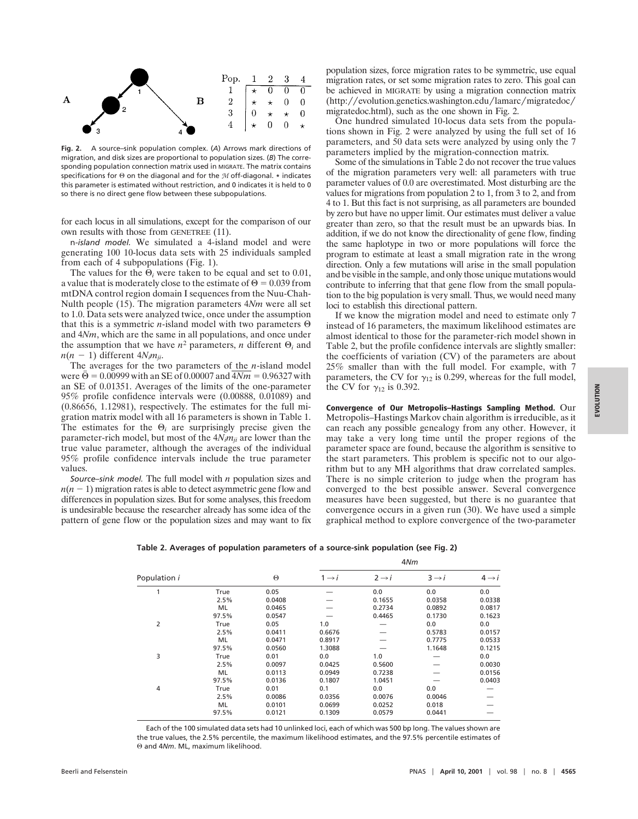

**Fig. 2.** A source–sink population complex. (*A*) Arrows mark directions of migration, and disk sizes are proportional to population sizes. (*B*) The corresponding population connection matrix used in MIGRATE. The matrix contains specifications for  $\Theta$  on the diagonal and for the *M* off-diagonal.  $*$  indicates this parameter is estimated without restriction, and 0 indicates it is held to 0 so there is no direct gene flow between these subpopulations.

for each locus in all simulations, except for the comparison of our own results with those from GENETREE (11).

n*-island model.* We simulated a 4-island model and were generating 100 10-locus data sets with 25 individuals sampled from each of 4 subpopulations (Fig. 1).

The values for the  $\Theta_i$  were taken to be equal and set to 0.01, a value that is moderately close to the estimate of  $\Theta = 0.039$  from mtDNA control region domain I sequences from the Nuu-Chah-Nulth people (15). The migration parameters 4*Nm* were all set to 1.0. Data sets were analyzed twice, once under the assumption that this is a symmetric *n*-island model with two parameters  $\Theta$ and 4*Nm*, which are the same in all populations, and once under the assumption that we have  $n^2$  parameters, *n* different  $\Theta_i$  and  $n(n-1)$  different  $4N_i m_{ji}$ .

The averages for the two parameters of the *n*-island model were  $\bar{\Theta} = 0.00999$  with an SE of 0.00007 and  $4Nm = 0.96327$  with an SE of 0.01351. Averages of the limits of the one-parameter 95% profile confidence intervals were (0.00888, 0.01089) and (0.86656, 1.12981), respectively. The estimates for the full migration matrix model with all 16 parameters is shown in Table 1. The estimates for the  $\Theta_i$  are surprisingly precise given the parameter-rich model, but most of the 4*Nimji* are lower than the true value parameter, although the averages of the individual 95% profile confidence intervals include the true parameter values.

*Source–sink model.* The full model with *n* population sizes and  $n(n-1)$  migration rates is able to detect asymmetric gene flow and differences in population sizes. But for some analyses, this freedom is undesirable because the researcher already has some idea of the pattern of gene flow or the population sizes and may want to fix population sizes, force migration rates to be symmetric, use equal migration rates, or set some migration rates to zero. This goal can be achieved in MIGRATE by using a migration connection matrix  $(\text{http://evolution.genetics.washington.edu/lamarc/migratedoc/})$ migratedoc.html), such as the one shown in Fig. 2.

One hundred simulated 10-locus data sets from the populations shown in Fig. 2 were analyzed by using the full set of 16 parameters, and 50 data sets were analyzed by using only the 7 parameters implied by the migration-connection matrix.

Some of the simulations in Table 2 do not recover the true values of the migration parameters very well: all parameters with true parameter values of 0.0 are overestimated. Most disturbing are the values for migrations from population 2 to 1, from 3 to 2, and from 4 to 1. But this fact is not surprising, as all parameters are bounded by zero but have no upper limit. Our estimates must deliver a value greater than zero, so that the result must be an upwards bias. In addition, if we do not know the directionality of gene flow, finding the same haplotype in two or more populations will force the program to estimate at least a small migration rate in the wrong direction. Only a few mutations will arise in the small population and be visible in the sample, and only those unique mutations would contribute to inferring that that gene flow from the small population to the big population is very small. Thus, we would need many loci to establish this directional pattern.

If we know the migration model and need to estimate only 7 instead of 16 parameters, the maximum likelihood estimates are almost identical to those for the parameter-rich model shown in Table 2, but the profile confidence intervals are slightly smaller: the coefficients of variation (CV) of the parameters are about 25% smaller than with the full model. For example, with 7 parameters, the CV for  $\gamma_{12}$  is 0.299, whereas for the full model, the CV for  $\gamma_{12}$  is 0.392.

**Convergence of Our Metropolis–Hastings Sampling Method.** Our Metropolis–Hastings Markov chain algorithm is irreducible, as it can reach any possible genealogy from any other. However, it may take a very long time until the proper regions of the parameter space are found, because the algorithm is sensitive to the start parameters. This problem is specific not to our algorithm but to any MH algorithms that draw correlated samples. There is no simple criterion to judge when the program has converged to the best possible answer. Several convergence measures have been suggested, but there is no guarantee that convergence occurs in a given run (30). We have used a simple graphical method to explore convergence of the two-parameter

| Table 2. Averages of population parameters of a source-sink population (see Fig. 2) |  |  |  |
|-------------------------------------------------------------------------------------|--|--|--|
|                                                                                     |  |  |  |

|              |       |          | 4Nm               |                   |                   |                   |
|--------------|-------|----------|-------------------|-------------------|-------------------|-------------------|
| Population i |       | $\Theta$ | $1 \rightarrow i$ | $2 \rightarrow i$ | $3 \rightarrow i$ | $4 \rightarrow i$ |
| 1            | True  | 0.05     |                   | 0.0               | 0.0               | 0.0               |
|              | 2.5%  | 0.0408   |                   | 0.1655            | 0.0358            | 0.0338            |
|              | ML    | 0.0465   |                   | 0.2734            | 0.0892            | 0.0817            |
|              | 97.5% | 0.0547   |                   | 0.4465            | 0.1730            | 0.1623            |
| 2            | True  | 0.05     | 1.0               |                   | 0.0               | 0.0               |
|              | 2.5%  | 0.0411   | 0.6676            |                   | 0.5783            | 0.0157            |
|              | ML    | 0.0471   | 0.8917            |                   | 0.7775            | 0.0533            |
|              | 97.5% | 0.0560   | 1.3088            |                   | 1.1648            | 0.1215            |
| 3            | True  | 0.01     | 0.0               | 1.0               |                   | 0.0               |
|              | 2.5%  | 0.0097   | 0.0425            | 0.5600            |                   | 0.0030            |
|              | ML    | 0.0113   | 0.0949            | 0.7238            |                   | 0.0156            |
|              | 97.5% | 0.0136   | 0.1807            | 1.0451            |                   | 0.0403            |
| 4            | True  | 0.01     | 0.1               | 0.0               | 0.0               |                   |
|              | 2.5%  | 0.0086   | 0.0356            | 0.0076            | 0.0046            |                   |
|              | ML    | 0.0101   | 0.0699            | 0.0252            | 0.018             |                   |
|              | 97.5% | 0.0121   | 0.1309            | 0.0579            | 0.0441            |                   |

Each of the 100 simulated data sets had 10 unlinked loci, each of which was 500 bp long. The values shown are the true values, the 2.5% percentile, the maximum likelihood estimates, and the 97.5% percentile estimates of Q and 4*Nm*. ML, maximum likelihood.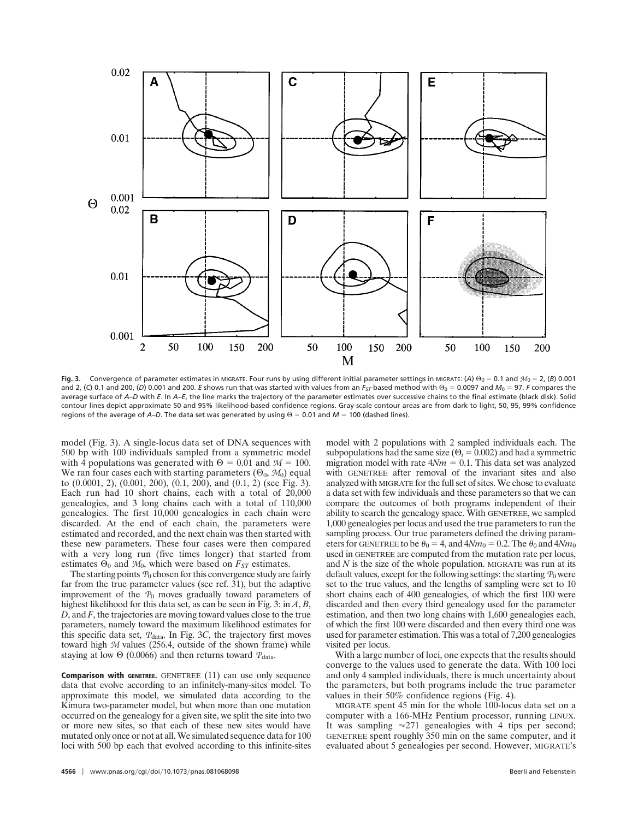

**Fig. 3.** Convergence of parameter estimates in MIGRATE. Four runs by using different initial parameter settings in MIGRATE: (A)  $\Theta_0 = 0.1$  and  $M_0 = 2$ , (B) 0.001 and 2, (C) 0.1 and 200, (D) 0.001 and 200. *E* shows run that was started with values from an  $F_{ST}$  based method with  $\Theta_0 = 0.0097$  and  $M_0 = 97$ . *F* compares the average surface of *A–D* with *E*. In *A–E*, the line marks the trajectory of the parameter estimates over successive chains to the final estimate (black disk). Solid contour lines depict approximate 50 and 95% likelihood-based confidence regions. Gray-scale contour areas are from dark to light, 50, 95, 99% confidence regions of the average of *A–D*. The data set was generated by using  $\Theta = 0.01$  and  $M = 100$  (dashed lines).

model (Fig. 3). A single-locus data set of DNA sequences with 500 bp with 100 individuals sampled from a symmetric model with 4 populations was generated with  $\Theta = 0.01$  and  $M = 100$ . We ran four cases each with starting parameters  $(\Theta_0, \mathcal{M}_0)$  equal to  $(0.0001, 2)$ ,  $(0.001, 200)$ ,  $(0.1, 200)$ , and  $(0.1, 2)$  (see Fig. 3). Each run had 10 short chains, each with a total of 20,000 genealogies, and 3 long chains each with a total of 110,000 genealogies. The first 10,000 genealogies in each chain were discarded. At the end of each chain, the parameters were estimated and recorded, and the next chain was then started with these new parameters. These four cases were then compared with a very long run (five times longer) that started from estimates  $\Theta_0$  and  $M_0$ , which were based on  $F_{ST}$  estimates.

The starting points  $P_0$  chosen for this convergence study are fairly far from the true parameter values (see ref. 31), but the adaptive improvement of the *P*<sup>0</sup> moves gradually toward parameters of highest likelihood for this data set, as can be seen in Fig. 3: in *A*, *B*, *D*, and *F*, the trajectories are moving toward values close to the true parameters, namely toward the maximum likelihood estimates for this specific data set,  $P_{data}$ . In Fig. 3C, the trajectory first moves toward high *M* values (256.4, outside of the shown frame) while staying at low  $\Theta$  (0.0066) and then returns toward  $P_{data}$ .

**Comparison with GENETREE.** GENETREE (11) can use only sequence data that evolve according to an infinitely-many-sites model. To approximate this model, we simulated data according to the Kimura two-parameter model, but when more than one mutation occurred on the genealogy for a given site, we split the site into two or more new sites, so that each of these new sites would have mutated only once or not at all. We simulated sequence data for 100 loci with 500 bp each that evolved according to this infinite-sites model with 2 populations with 2 sampled individuals each. The subpopulations had the same size ( $\Theta_i = 0.002$ ) and had a symmetric migration model with rate  $4Nm = 0.1$ . This data set was analyzed with GENETREE after removal of the invariant sites and also analyzed with MIGRATE for the full set of sites. We chose to evaluate a data set with few individuals and these parameters so that we can compare the outcomes of both programs independent of their ability to search the genealogy space. With GENETREE, we sampled 1,000 genealogies per locus and used the true parameters to run the sampling process. Our true parameters defined the driving parameters for GENETREE to be  $\theta_0 = 4$ , and  $4Nm_0 = 0.2$ . The  $\theta_0$  and  $4Nm_0$ used in GENETREE are computed from the mutation rate per locus, and *N* is the size of the whole population. MIGRATE was run at its default values, except for the following settings: the starting  $P_0$  were set to the true values, and the lengths of sampling were set to 10 short chains each of 400 genealogies, of which the first 100 were discarded and then every third genealogy used for the parameter estimation, and then two long chains with 1,600 genealogies each, of which the first 100 were discarded and then every third one was used for parameter estimation. This was a total of 7,200 genealogies visited per locus.

With a large number of loci, one expects that the results should converge to the values used to generate the data. With 100 loci and only 4 sampled individuals, there is much uncertainty about the parameters, but both programs include the true parameter values in their 50% confidence regions (Fig. 4).

MIGRATE spent 45 min for the whole 100-locus data set on a computer with a 166-MHz Pentium processor, running LINUX. It was sampling  $\approx 271$  genealogies with 4 tips per second; GENETREE spent roughly 350 min on the same computer, and it evaluated about 5 genealogies per second. However, MIGRATE's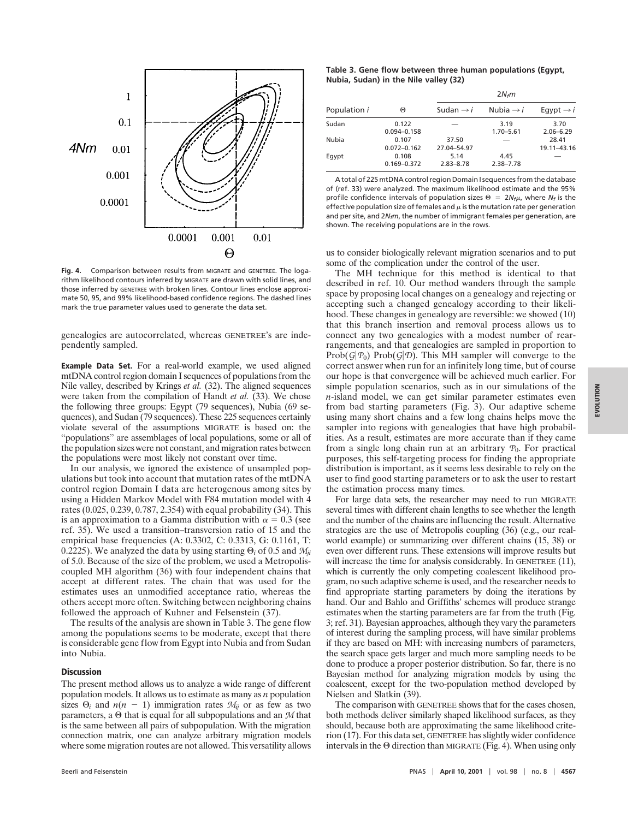

**Fig. 4.** Comparison between results from MIGRATE and GENETREE. The logarithm likelihood contours inferred by MIGRATE are drawn with solid lines, and those inferred by GENETREE with broken lines. Contour lines enclose approximate 50, 95, and 99% likelihood-based confidence regions. The dashed lines mark the true parameter values used to generate the data set.

genealogies are autocorrelated, whereas GENETREE's are independently sampled.

**Example Data Set.** For a real-world example, we used aligned mtDNA control region domain I sequences of populations from the Nile valley, described by Krings *et al.* (32). The aligned sequences were taken from the compilation of Handt *et al.* (33). We chose the following three groups: Egypt (79 sequences), Nubia (69 sequences), and Sudan (79 sequences). These 225 sequences certainly violate several of the assumptions MIGRATE is based on: the ''populations'' are assemblages of local populations, some or all of the population sizes were not constant, and migration rates between the populations were most likely not constant over time.

In our analysis, we ignored the existence of unsampled populations but took into account that mutation rates of the mtDNA control region Domain I data are heterogenous among sites by using a Hidden Markov Model with F84 mutation model with 4 rates (0.025, 0.239, 0.787, 2.354) with equal probability (34). This is an approximation to a Gamma distribution with  $\alpha = 0.3$  (see ref. 35). We used a transition–transversion ratio of 15 and the empirical base frequencies (A: 0.3302, C: 0.3313, G: 0.1161, T: 0.2225). We analyzed the data by using starting  $\Theta_i$  of 0.5 and  $M_{ii}$ of 5.0. Because of the size of the problem, we used a Metropoliscoupled MH algorithm (36) with four independent chains that accept at different rates. The chain that was used for the estimates uses an unmodified acceptance ratio, whereas the others accept more often. Switching between neighboring chains followed the approach of Kuhner and Felsenstein (37).

The results of the analysis are shown in Table 3. The gene flow among the populations seems to be moderate, except that there is considerable gene flow from Egypt into Nubia and from Sudan into Nubia.

## **Discussion**

The present method allows us to analyze a wide range of different population models. It allows us to estimate as many as *n* population sizes  $\Theta_i$  and  $n(n - 1)$  immigration rates  $M_{ii}$  or as few as two parameters, a Q that is equal for all subpopulations and an *M* that is the same between all pairs of subpopulation. With the migration connection matrix, one can analyze arbitrary migration models where some migration routes are not allowed. This versatility allows

**Table 3. Gene flow between three human populations (Egypt, Nubia, Sudan) in the Nile valley (32)**

|              |                          | $2N_f m$              |                       |                       |  |
|--------------|--------------------------|-----------------------|-----------------------|-----------------------|--|
| Population i | Θ                        | Sudan $\rightarrow i$ | Nubia $\rightarrow i$ | Eqypt $\rightarrow i$ |  |
| Sudan        | 0.122<br>$0.094 - 0.158$ |                       | 3.19<br>$1.70 - 5.61$ | 3.70<br>$2.06 - 6.29$ |  |
| Nubia        | 0.107<br>$0.072 - 0.162$ | 37.50<br>27.04-54.97  |                       | 28.41<br>19.11-43.16  |  |
| Eqypt        | 0.108<br>$0.169 - 0.372$ | 5.14<br>$2.83 - 8.78$ | 4.45<br>$2.38 - 7.78$ |                       |  |

A total of 225 mtDNA control region Domain I sequences from the database of (ref. 33) were analyzed. The maximum likelihood estimate and the 95% profile confidence intervals of population sizes  $\Theta = 2N_f\mu$ , where  $N_f$  is the effective population size of females and  $\mu$  is the mutation rate per generation and per site, and 2*N<sub>f</sub>m*, the number of immigrant females per generation, are shown. The receiving populations are in the rows.

us to consider biologically relevant migration scenarios and to put some of the complication under the control of the user.

The MH technique for this method is identical to that described in ref. 10. Our method wanders through the sample space by proposing local changes on a genealogy and rejecting or accepting such a changed genealogy according to their likelihood. These changes in genealogy are reversible: we showed (10) that this branch insertion and removal process allows us to connect any two genealogies with a modest number of rearrangements, and that genealogies are sampled in proportion to  $Prob(G|P_0)$  Prob $(G|D)$ . This MH sampler will converge to the correct answer when run for an infinitely long time, but of course our hope is that convergence will be achieved much earlier. For simple population scenarios, such as in our simulations of the *n*-island model, we can get similar parameter estimates even from bad starting parameters (Fig. 3). Our adaptive scheme using many short chains and a few long chains helps move the sampler into regions with genealogies that have high probabilities. As a result, estimates are more accurate than if they came from a single long chain run at an arbitrary  $P_0$ . For practical purposes, this self-targeting process for finding the appropriate distribution is important, as it seems less desirable to rely on the user to find good starting parameters or to ask the user to restart the estimation process many times.

For large data sets, the researcher may need to run MIGRATE several times with different chain lengths to see whether the length and the number of the chains are influencing the result. Alternative strategies are the use of Metropolis coupling (36) (e.g., our realworld example) or summarizing over different chains (15, 38) or even over different runs. These extensions will improve results but will increase the time for analysis considerably. In GENETREE (11), which is currently the only competing coalescent likelihood program, no such adaptive scheme is used, and the researcher needs to find appropriate starting parameters by doing the iterations by hand. Our and Bahlo and Griffiths' schemes will produce strange estimates when the starting parameters are far from the truth (Fig. 3; ref. 31). Bayesian approaches, although they vary the parameters of interest during the sampling process, will have similar problems if they are based on MH: with increasing numbers of parameters, the search space gets larger and much more sampling needs to be done to produce a proper posterior distribution. So far, there is no Bayesian method for analyzing migration models by using the coalescent, except for the two-population method developed by Nielsen and Slatkin (39).

The comparison with GENETREE shows that for the cases chosen, both methods deliver similarly shaped likelihood surfaces, as they should, because both are approximating the same likelihood criterion (17). For this data set, GENETREE has slightly wider confidence intervals in the  $\Theta$  direction than MIGRATE (Fig. 4). When using only